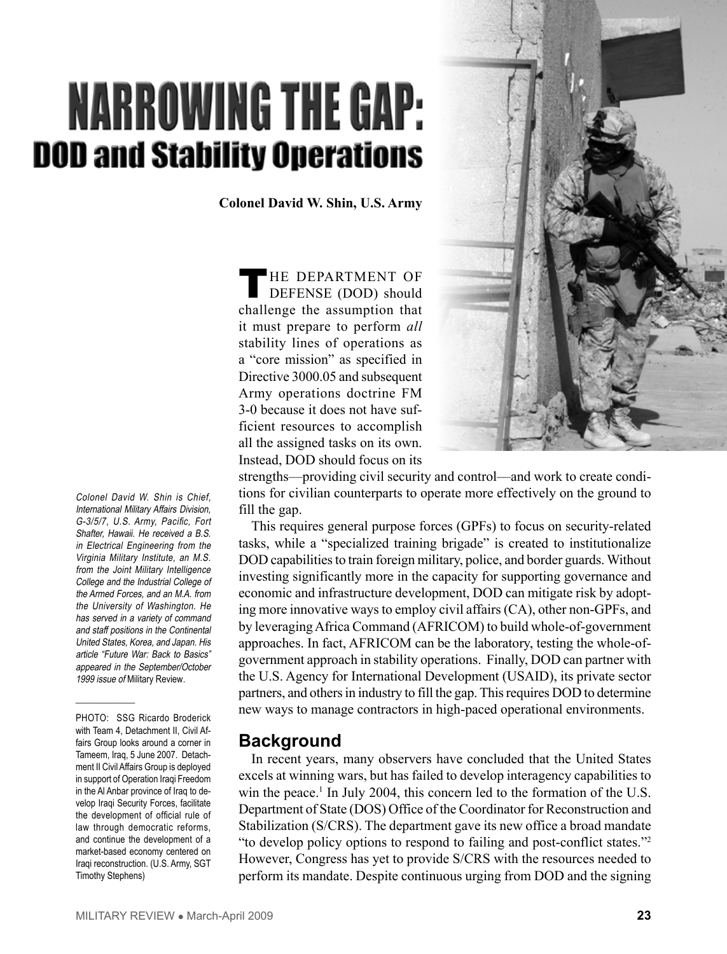# **NARROWING THE GAP: DOD and Stability Operations**

**Colonel David W. Shin, U.S. Army**

THE DEPARTMENT OF DEFENSE (DOD) should challenge the assumption that it must prepare to perform *all*  stability lines of operations as a "core mission" as specified in Directive 3000.05 and subsequent Army operations doctrine FM 3-0 because it does not have sufficient resources to accomplish all the assigned tasks on its own. Instead, DOD should focus on its



strengths—providing civil security and control—and work to create conditions for civilian counterparts to operate more effectively on the ground to fill the gap.

This requires general purpose forces (GPFs) to focus on security-related tasks, while a "specialized training brigade" is created to institutionalize DOD capabilities to train foreign military, police, and border guards. Without investing significantly more in the capacity for supporting governance and economic and infrastructure development, DOD can mitigate risk by adopting more innovative ways to employ civil affairs (CA), other non-GPFs, and by leveraging Africa Command (AFRICOM) to build whole-of-government approaches. In fact, AFRICOM can be the laboratory, testing the whole-ofgovernment approach in stability operations. Finally, DOD can partner with the U.S. Agency for International Development (USAID), its private sector partners, and others in industry to fill the gap. This requires DOD to determine new ways to manage contractors in high-paced operational environments.

# **Background**

In recent years, many observers have concluded that the United States excels at winning wars, but has failed to develop interagency capabilities to win the peace.<sup>1</sup> In July 2004, this concern led to the formation of the U.S. Department of State (DOS) Office of the Coordinator for Reconstruction and Stabilization (S/CRS). The department gave its new office a broad mandate "to develop policy options to respond to failing and post-conflict states."2 However, Congress has yet to provide S/CRS with the resources needed to perform its mandate. Despite continuous urging from DOD and the signing

Colonel David W. Shin is Chief, International Military Affairs Division, G-3/5/7, U.S. Army, Pacific, Fort Shafter, Hawaii. He received a B.S. in Electrical Engineering from the Virginia Military Institute, an M.S. from the Joint Military Intelligence College and the Industrial College of the Armed Forces, and an M.A. from the University of Washington. He has served in a variety of command and staff positions in the Continental United States, Korea, and Japan. His article "Future War: Back to Basics" appeared in the September/October 1999 issue of Military Review.

PHOTO: SSG Ricardo Broderick with Team 4, Detachment II, Civil Affairs Group looks around a corner in Tameem, Iraq, 5 June 2007. Detachment II Civil Affairs Group is deployed in support of Operation Iraqi Freedom in the Al Anbar province of Iraq to develop Iraqi Security Forces, facilitate the development of official rule of law through democratic reforms, and continue the development of a market-based economy centered on Iraqi reconstruction. (U.S. Army, SGT Timothy Stephens)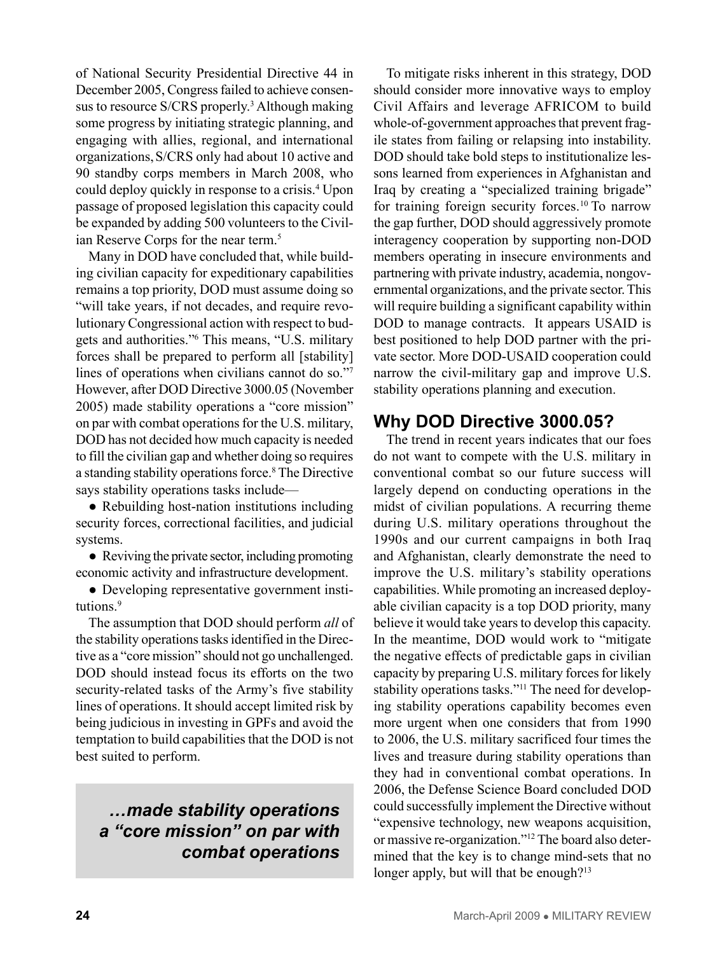of National Security Presidential Directive 44 in December 2005, Congress failed to achieve consensus to resource S/CRS properly.<sup>3</sup> Although making some progress by initiating strategic planning, and engaging with allies, regional, and international organizations,S/CRS only had about 10 active and 90 standby corps members in March 2008, who could deploy quickly in response to a crisis.<sup>4</sup> Upon passage of proposed legislation this capacity could be expanded by adding 500 volunteers to the Civilian Reserve Corps for the near term.<sup>5</sup>

Many in DOD have concluded that, while building civilian capacity for expeditionary capabilities remains a top priority, DOD must assume doing so "will take years, if not decades, and require revolutionary Congressional action with respect to budgets and authorities."6 This means, "U.S. military forces shall be prepared to perform all [stability] lines of operations when civilians cannot do so."7 However, after DOD Directive 3000.05 (November 2005) made stability operations a "core mission" on par with combat operations for the U.S. military, DOD has not decided how much capacity is needed to fill the civilian gap and whether doing so requires a standing stability operations force.8 The Directive says stability operations tasks include—

• Rebuilding host-nation institutions including security forces, correctional facilities, and judicial systems.

• Reviving the private sector, including promoting economic activity and infrastructure development.

● Developing representative government institutions.9

The assumption that DOD should perform *all* of the stability operations tasks identified in the Directive as a "core mission" should not go unchallenged. DOD should instead focus its efforts on the two security-related tasks of the Army's five stability lines of operations. It should accept limited risk by being judicious in investing in GPFs and avoid the temptation to build capabilities that the DOD is not best suited to perform.

# *…made stability operations a "core mission" on par with combat operations*

To mitigate risks inherent in this strategy, DOD should consider more innovative ways to employ Civil Affairs and leverage AFRICOM to build whole-of-government approaches that prevent fragile states from failing or relapsing into instability. DOD should take bold steps to institutionalize lessons learned from experiences in Afghanistan and Iraq by creating a "specialized training brigade" for training foreign security forces.10 To narrow the gap further, DOD should aggressively promote interagency cooperation by supporting non-DOD members operating in insecure environments and partnering with private industry, academia, nongovernmental organizations, and the private sector. This will require building a significant capability within DOD to manage contracts. It appears USAID is best positioned to help DOD partner with the private sector. More DOD-USAID cooperation could narrow the civil-military gap and improve U.S. stability operations planning and execution.

# **Why DOD Directive 3000.05?**

The trend in recent years indicates that our foes do not want to compete with the U.S. military in conventional combat so our future success will largely depend on conducting operations in the midst of civilian populations. A recurring theme during U.S. military operations throughout the 1990s and our current campaigns in both Iraq and Afghanistan, clearly demonstrate the need to improve the U.S. military's stability operations capabilities. While promoting an increased deployable civilian capacity is a top DOD priority, many believe it would take years to develop this capacity. In the meantime, DOD would work to "mitigate the negative effects of predictable gaps in civilian capacity by preparing U.S. military forces for likely stability operations tasks."<sup>11</sup> The need for developing stability operations capability becomes even more urgent when one considers that from 1990 to 2006, the U.S. military sacrificed four times the lives and treasure during stability operations than they had in conventional combat operations. In 2006, the Defense Science Board concluded DOD could successfully implement the Directive without "expensive technology, new weapons acquisition, or massive re-organization."12 The board also determined that the key is to change mind-sets that no longer apply, but will that be enough?<sup>13</sup>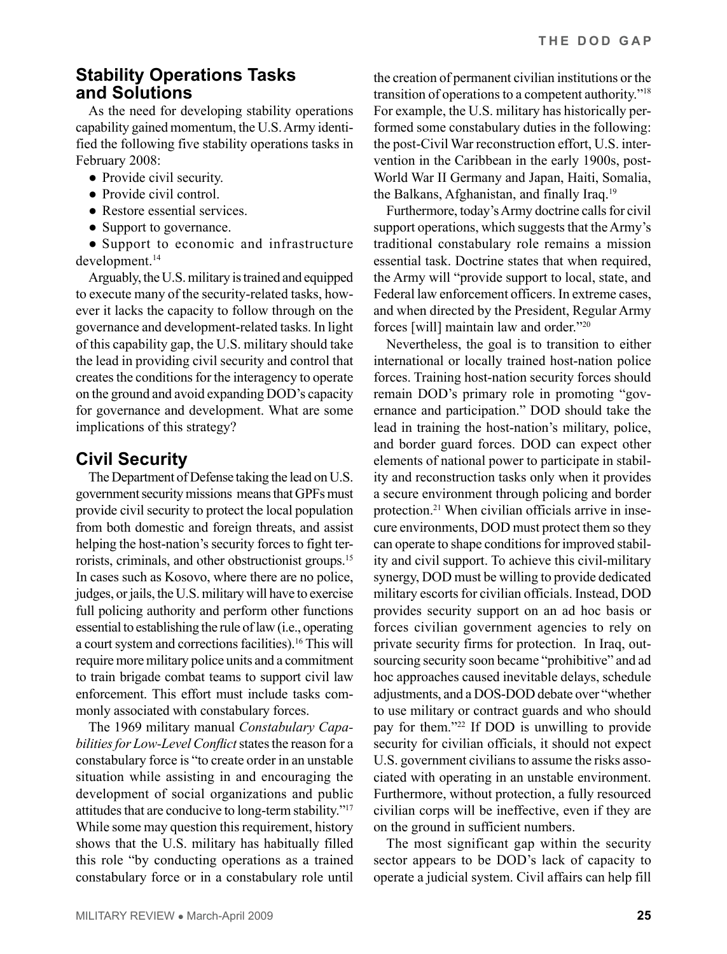#### **Stability Operations Tasks and Solutions**

As the need for developing stability operations capability gained momentum, the U.S. Army identified the following five stability operations tasks in February 2008:

- Provide civil security.
- Provide civil control.
- Restore essential services.
- Support to governance.

● Support to economic and infrastructure development.<sup>14</sup>

Arguably, the U.S. military is trained and equipped to execute many of the security-related tasks, however it lacks the capacity to follow through on the governance and development-related tasks. In light of this capability gap, the U.S. military should take the lead in providing civil security and control that creates the conditions for the interagency to operate on the ground and avoid expanding DOD's capacity for governance and development. What are some implications of this strategy?

# **Civil Security**

The Department of Defense taking the lead on U.S. government security missions means that GPFs must provide civil security to protect the local population from both domestic and foreign threats, and assist helping the host-nation's security forces to fight terrorists, criminals, and other obstructionist groups.15 In cases such as Kosovo, where there are no police, judges, or jails, the U.S. military will have to exercise full policing authority and perform other functions essential to establishing the rule of law (i.e., operating a court system and corrections facilities).16 This will require more military police units and a commitment to train brigade combat teams to support civil law enforcement. This effort must include tasks commonly associated with constabulary forces.

The 1969 military manual *Constabulary Capabilities for Low-Level Conflict* states the reason for a constabulary force is "to create order in an unstable situation while assisting in and encouraging the development of social organizations and public attitudes that are conducive to long-term stability."17 While some may question this requirement, history shows that the U.S. military has habitually filled this role "by conducting operations as a trained constabulary force or in a constabulary role until

the creation of permanent civilian institutions or the transition of operations to a competent authority."18 For example, the U.S. military has historically performed some constabulary duties in the following: the post-Civil War reconstruction effort, U.S. intervention in the Caribbean in the early 1900s, post-World War II Germany and Japan, Haiti, Somalia, the Balkans, Afghanistan, and finally Iraq.19

Furthermore, today's Army doctrine calls for civil support operations, which suggests that the Army's traditional constabulary role remains a mission essential task. Doctrine states that when required, the Army will "provide support to local, state, and Federal law enforcement officers. In extreme cases, and when directed by the President, Regular Army forces [will] maintain law and order."20

Nevertheless, the goal is to transition to either international or locally trained host-nation police forces. Training host-nation security forces should remain DOD's primary role in promoting "governance and participation." DOD should take the lead in training the host-nation's military, police, and border guard forces. DOD can expect other elements of national power to participate in stability and reconstruction tasks only when it provides a secure environment through policing and border protection.21 When civilian officials arrive in insecure environments, DOD must protect them so they can operate to shape conditions for improved stability and civil support. To achieve this civil-military synergy, DOD must be willing to provide dedicated military escorts for civilian officials. Instead, DOD provides security support on an ad hoc basis or forces civilian government agencies to rely on private security firms for protection. In Iraq, outsourcing security soon became "prohibitive" and ad hoc approaches caused inevitable delays, schedule adjustments, and a DOS-DOD debate over "whether to use military or contract guards and who should pay for them."22 If DOD is unwilling to provide security for civilian officials, it should not expect U.S. government civilians to assume the risks associated with operating in an unstable environment. Furthermore, without protection, a fully resourced civilian corps will be ineffective, even if they are on the ground in sufficient numbers.

The most significant gap within the security sector appears to be DOD's lack of capacity to operate a judicial system. Civil affairs can help fill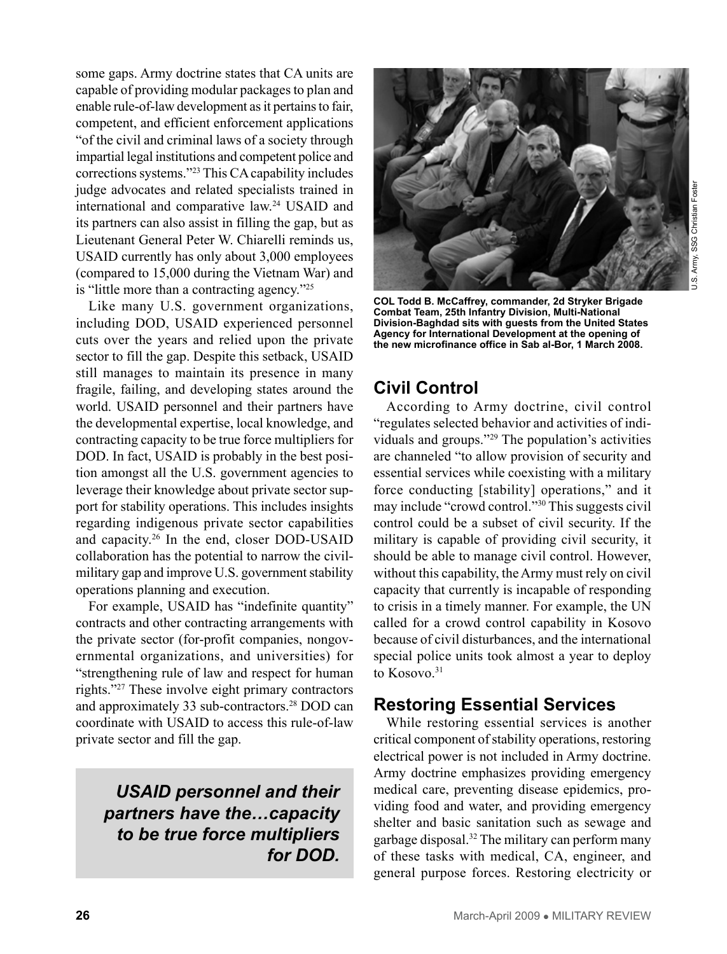some gaps. Army doctrine states that CA units are capable of providing modular packages to plan and enable rule-of-law development as it pertains to fair, competent, and efficient enforcement applications "of the civil and criminal laws of a society through impartial legal institutions and competent police and corrections systems."23 This CA capability includes judge advocates and related specialists trained in international and comparative law.24 USAID and its partners can also assist in filling the gap, but as Lieutenant General Peter W. Chiarelli reminds us, USAID currently has only about 3,000 employees (compared to 15,000 during the Vietnam War) and is "little more than a contracting agency."25

Like many U.S. government organizations, including DOD, USAID experienced personnel cuts over the years and relied upon the private sector to fill the gap. Despite this setback, USAID still manages to maintain its presence in many fragile, failing, and developing states around the world. USAID personnel and their partners have the developmental expertise, local knowledge, and contracting capacity to be true force multipliers for DOD. In fact, USAID is probably in the best position amongst all the U.S. government agencies to leverage their knowledge about private sector support for stability operations. This includes insights regarding indigenous private sector capabilities and capacity.26 In the end, closer DOD-USAID collaboration has the potential to narrow the civilmilitary gap and improve U.S. government stability operations planning and execution.

For example, USAID has "indefinite quantity" contracts and other contracting arrangements with the private sector (for-profit companies, nongovernmental organizations, and universities) for "strengthening rule of law and respect for human rights."27 These involve eight primary contractors and approximately 33 sub-contractors.28 DOD can coordinate with USAID to access this rule-of-law private sector and fill the gap.

*USAID personnel and their partners have the…capacity to be true force multipliers for DOD.*



**COL Todd B. McCaffrey, commander, 2d Stryker Brigade Combat Team, 25th Infantry Division, Multi-National Division-Baghdad sits with guests from the United States Agency for International Development at the opening of the new microfinance office in Sab al-Bor, 1 March 2008.** 

# **Civil Control**

According to Army doctrine, civil control "regulates selected behavior and activities of individuals and groups."29 The population's activities are channeled "to allow provision of security and essential services while coexisting with a military force conducting [stability] operations," and it may include "crowd control."30 This suggests civil control could be a subset of civil security. If the military is capable of providing civil security, it should be able to manage civil control. However, without this capability, the Army must rely on civil capacity that currently is incapable of responding to crisis in a timely manner. For example, the UN called for a crowd control capability in Kosovo because of civil disturbances, and the international special police units took almost a year to deploy to Kosovo.<sup>31</sup>

## **Restoring Essential Services**

While restoring essential services is another critical component of stability operations, restoring electrical power is not included in Army doctrine. Army doctrine emphasizes providing emergency medical care, preventing disease epidemics, providing food and water, and providing emergency shelter and basic sanitation such as sewage and garbage disposal.32 The military can perform many of these tasks with medical, CA, engineer, and general purpose forces. Restoring electricity or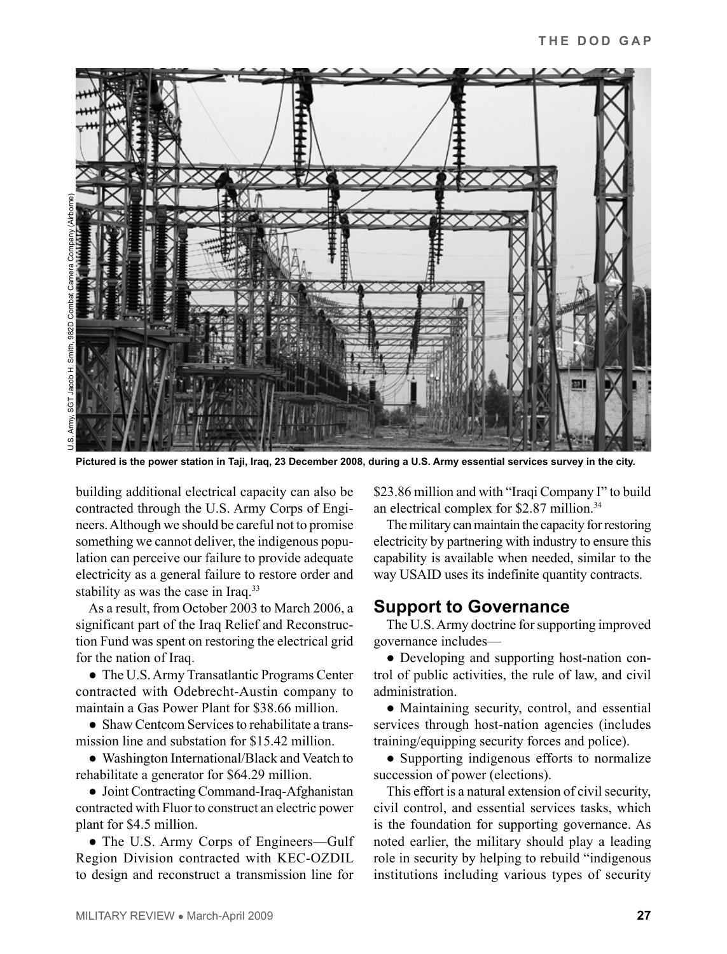

**Pictured is the power station in Taji, Iraq, 23 December 2008, during a U.S. Army essential services survey in the city.** 

building additional electrical capacity can also be contracted through the U.S. Army Corps of Engineers. Although we should be careful not to promise something we cannot deliver, the indigenous population can perceive our failure to provide adequate electricity as a general failure to restore order and stability as was the case in Iraq.<sup>33</sup>

As a result, from October 2003 to March 2006, a significant part of the Iraq Relief and Reconstruction Fund was spent on restoring the electrical grid for the nation of Iraq.

● The U.S. Army Transatlantic Programs Center contracted with Odebrecht-Austin company to maintain a Gas Power Plant for \$38.66 million.

● Shaw Centcom Services to rehabilitate a transmission line and substation for \$15.42 million.

● Washington International/Black and Veatch to rehabilitate a generator for \$64.29 million.

● Joint Contracting Command-Iraq-Afghanistan contracted with Fluor to construct an electric power plant for \$4.5 million.

• The U.S. Army Corps of Engineers—Gulf Region Division contracted with KEC-OZDIL to design and reconstruct a transmission line for \$23.86 million and with "Iraqi Company I" to build an electrical complex for \$2.87 million.<sup>34</sup>

The military can maintain the capacity for restoring electricity by partnering with industry to ensure this capability is available when needed, similar to the way USAID uses its indefinite quantity contracts.

#### **Support to Governance**

The U.S. Army doctrine for supporting improved governance includes—

● Developing and supporting host-nation control of public activities, the rule of law, and civil administration.

● Maintaining security, control, and essential services through host-nation agencies (includes training/equipping security forces and police).

● Supporting indigenous efforts to normalize succession of power (elections).

This effort is a natural extension of civil security, civil control, and essential services tasks, which is the foundation for supporting governance. As noted earlier, the military should play a leading role in security by helping to rebuild "indigenous institutions including various types of security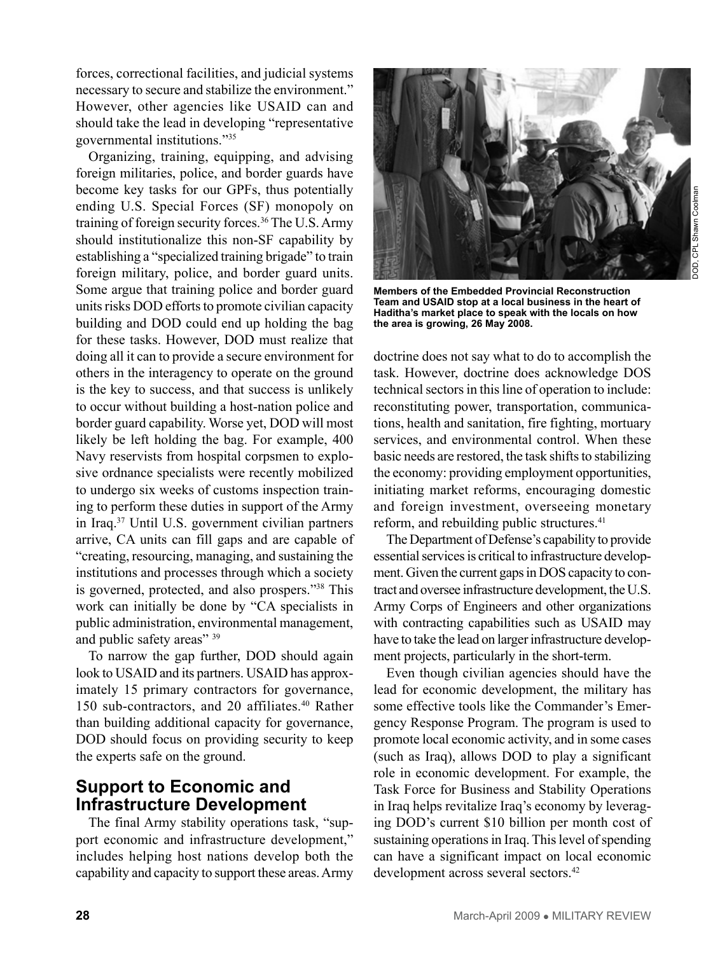forces, correctional facilities, and judicial systems necessary to secure and stabilize the environment." However, other agencies like USAID can and should take the lead in developing "representative governmental institutions."35

Organizing, training, equipping, and advising foreign militaries, police, and border guards have become key tasks for our GPFs, thus potentially ending U.S. Special Forces (SF) monopoly on training of foreign security forces.<sup>36</sup> The U.S. Army should institutionalize this non-SF capability by establishing a "specialized training brigade" to train foreign military, police, and border guard units. Some argue that training police and border guard units risks DOD efforts to promote civilian capacity building and DOD could end up holding the bag for these tasks. However, DOD must realize that doing all it can to provide a secure environment for others in the interagency to operate on the ground is the key to success, and that success is unlikely to occur without building a host-nation police and border guard capability. Worse yet, DOD will most likely be left holding the bag. For example, 400 Navy reservists from hospital corpsmen to explosive ordnance specialists were recently mobilized to undergo six weeks of customs inspection training to perform these duties in support of the Army in Iraq.37 Until U.S. government civilian partners arrive, CA units can fill gaps and are capable of "creating, resourcing, managing, and sustaining the institutions and processes through which a society is governed, protected, and also prospers."38 This work can initially be done by "CA specialists in public administration, environmental management, and public safety areas" 39

To narrow the gap further, DOD should again look to USAID and its partners. USAID has approximately 15 primary contractors for governance, 150 sub-contractors, and 20 affiliates.<sup>40</sup> Rather than building additional capacity for governance, DOD should focus on providing security to keep the experts safe on the ground.

#### **Support to Economic and Infrastructure Development**

The final Army stability operations task, "support economic and infrastructure development," includes helping host nations develop both the capability and capacity to support these areas. Army



**Members of the Embedded Provincial Reconstruction Team and USAID stop at a local business in the heart of Haditha's market place to speak with the locals on how the area is growing, 26 May 2008.**

doctrine does not say what to do to accomplish the task. However, doctrine does acknowledge DOS technical sectors in this line of operation to include: reconstituting power, transportation, communications, health and sanitation, fire fighting, mortuary services, and environmental control. When these basic needs are restored, the task shifts to stabilizing the economy: providing employment opportunities, initiating market reforms, encouraging domestic and foreign investment, overseeing monetary reform, and rebuilding public structures.<sup>41</sup>

The Department of Defense's capability to provide essential services is critical to infrastructure development. Given the current gaps in DOS capacity to contract and oversee infrastructure development, the U.S. Army Corps of Engineers and other organizations with contracting capabilities such as USAID may have to take the lead on larger infrastructure development projects, particularly in the short-term.

Even though civilian agencies should have the lead for economic development, the military has some effective tools like the Commander's Emergency Response Program. The program is used to promote local economic activity, and in some cases (such as Iraq), allows DOD to play a significant role in economic development. For example, the Task Force for Business and Stability Operations in Iraq helps revitalize Iraq's economy by leveraging DOD's current \$10 billion per month cost of sustaining operations in Iraq. This level of spending can have a significant impact on local economic development across several sectors.<sup>42</sup>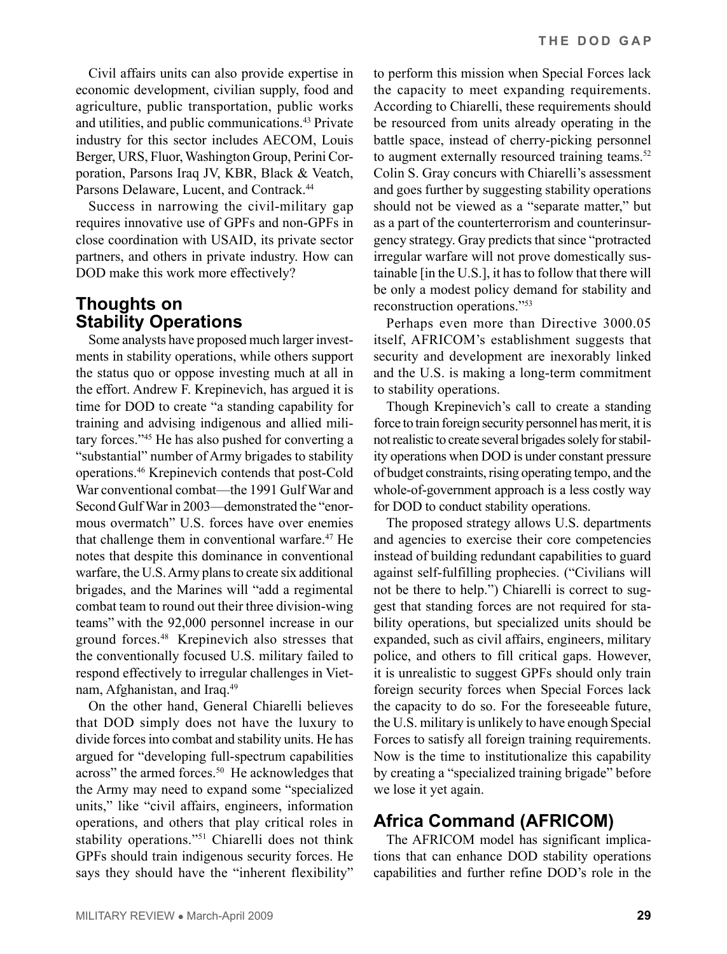Civil affairs units can also provide expertise in economic development, civilian supply, food and agriculture, public transportation, public works and utilities, and public communications.43 Private industry for this sector includes AECOM, Louis Berger, URS, Fluor, Washington Group, Perini Corporation, Parsons Iraq JV, KBR, Black & Veatch, Parsons Delaware, Lucent, and Contrack.<sup>44</sup>

Success in narrowing the civil-military gap requires innovative use of GPFs and non-GPFs in close coordination with USAID, its private sector partners, and others in private industry. How can DOD make this work more effectively?

# **Thoughts on Stability Operations**

Some analysts have proposed much larger investments in stability operations, while others support the status quo or oppose investing much at all in the effort. Andrew F. Krepinevich, has argued it is time for DOD to create "a standing capability for training and advising indigenous and allied military forces."45 He has also pushed for converting a "substantial" number of Army brigades to stability operations.46 Krepinevich contends that post-Cold War conventional combat—the 1991 Gulf War and Second Gulf War in 2003—demonstrated the "enormous overmatch" U.S. forces have over enemies that challenge them in conventional warfare.<sup>47</sup> He notes that despite this dominance in conventional warfare, the U.S. Army plans to create six additional brigades, and the Marines will "add a regimental combat team to round out their three division-wing teams" with the 92,000 personnel increase in our ground forces.48 Krepinevich also stresses that the conventionally focused U.S. military failed to respond effectively to irregular challenges in Vietnam, Afghanistan, and Iraq.49

On the other hand, General Chiarelli believes that DOD simply does not have the luxury to divide forces into combat and stability units. He has argued for "developing full-spectrum capabilities across" the armed forces.<sup>50</sup> He acknowledges that the Army may need to expand some "specialized units," like "civil affairs, engineers, information operations, and others that play critical roles in stability operations."51 Chiarelli does not think GPFs should train indigenous security forces. He says they should have the "inherent flexibility"

to perform this mission when Special Forces lack the capacity to meet expanding requirements. According to Chiarelli, these requirements should be resourced from units already operating in the battle space, instead of cherry-picking personnel to augment externally resourced training teams.<sup>52</sup> Colin S. Gray concurs with Chiarelli's assessment and goes further by suggesting stability operations should not be viewed as a "separate matter," but as a part of the counterterrorism and counterinsurgency strategy. Gray predicts that since "protracted irregular warfare will not prove domestically sustainable [in the U.S.], it has to follow that there will be only a modest policy demand for stability and reconstruction operations."53

Perhaps even more than Directive 3000.05 itself, AFRICOM's establishment suggests that security and development are inexorably linked and the U.S. is making a long-term commitment to stability operations.

Though Krepinevich's call to create a standing force to train foreign security personnel has merit, it is not realistic to create several brigades solely for stability operations when DOD is under constant pressure of budget constraints, rising operating tempo, and the whole-of-government approach is a less costly way for DOD to conduct stability operations.

The proposed strategy allows U.S. departments and agencies to exercise their core competencies instead of building redundant capabilities to guard against self-fulfilling prophecies. ("Civilians will not be there to help.") Chiarelli is correct to suggest that standing forces are not required for stability operations, but specialized units should be expanded, such as civil affairs, engineers, military police, and others to fill critical gaps. However, it is unrealistic to suggest GPFs should only train foreign security forces when Special Forces lack the capacity to do so. For the foreseeable future, the U.S. military is unlikely to have enough Special Forces to satisfy all foreign training requirements. Now is the time to institutionalize this capability by creating a "specialized training brigade" before we lose it yet again.

# **Africa Command (AFRICOM)**

The AFRICOM model has significant implications that can enhance DOD stability operations capabilities and further refine DOD's role in the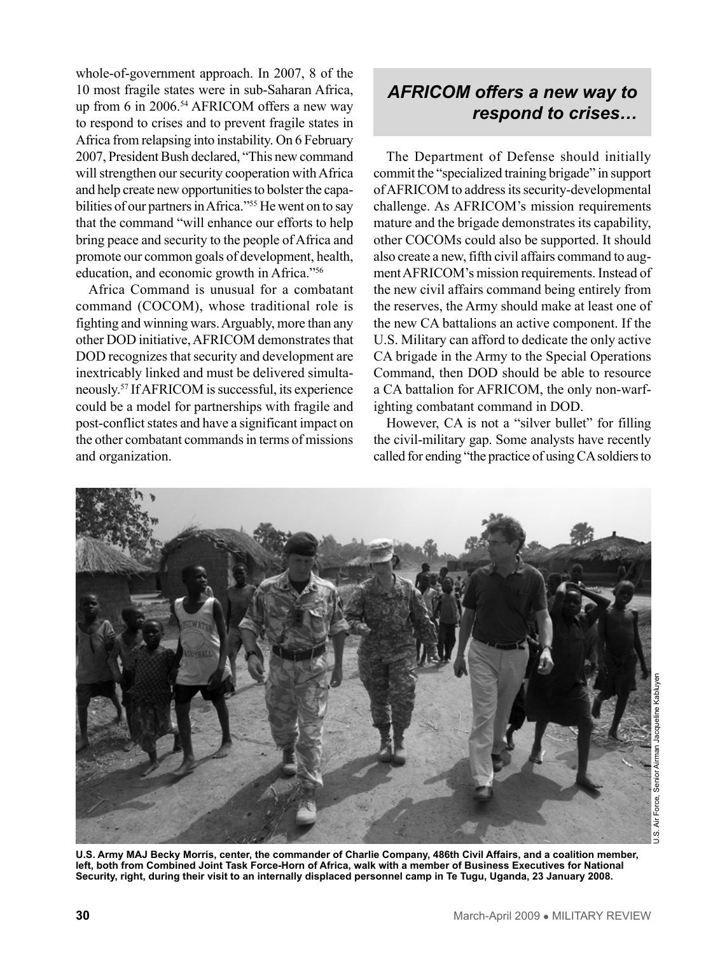whole-of-government approach. In 2007, 8 of the 10 most fragile states were in sub-Saharan Africa, up from 6 in 2006.<sup>54</sup> AFRICOM offers a new way to respond to crises and to prevent fragile states in Africa from relapsing into instability. On 6 February 2007, President Bush declared, "This new command will strengthen our security cooperation with Africa and help create new opportunities to bolster the capabilities of our partners in Africa."<sup>55</sup> He went on to say that the command "will enhance our efforts to help bring peace and security to the people of Africa and promote our common goals of development, health, education, and economic growth in Africa."56

Africa Command is unusual for a combatant command (COCOM), whose traditional role is fighting and winning wars. Arguably, more than any other DOD initiative, AFRICOM demonstrates that DOD recognizes that security and development are inextricably linked and must be delivered simultaneously.57 If AFRICOM is successful, its experience could be a model for partnerships with fragile and post-conflict states and have a significant impact on the other combatant commands in terms of missions and organization.

# *AFRICOM offers a new way to respond to crises…*

The Department of Defense should initially commit the "specialized training brigade" in support of AFRICOM to address its security-developmental challenge. As AFRICOM's mission requirements mature and the brigade demonstrates its capability, other COCOMs could also be supported. It should also create a new, fifth civil affairs command to augment AFRICOM's mission requirements. Instead of the new civil affairs command being entirely from the reserves, the Army should make at least one of the new CA battalions an active component. If the U.S. Military can afford to dedicate the only active CA brigade in the Army to the Special Operations Command, then DOD should be able to resource a CA battalion for AFRICOM, the only non-warfighting combatant command in DOD.

However, CA is not a "silver bullet" for filling the civil-military gap. Some analysts have recently called for ending "the practice of using CA soldiers to



**U.S. Army MAJ Becky Morris, center, the commander of Charlie Company, 486th Civil Affairs, and a coalition member, left, both from Combined Joint Task Force-Horn of Africa, walk with a member of Business Executives for National Security, right, during their visit to an internally displaced personnel camp in Te Tugu, Uganda, 23 January 2008.**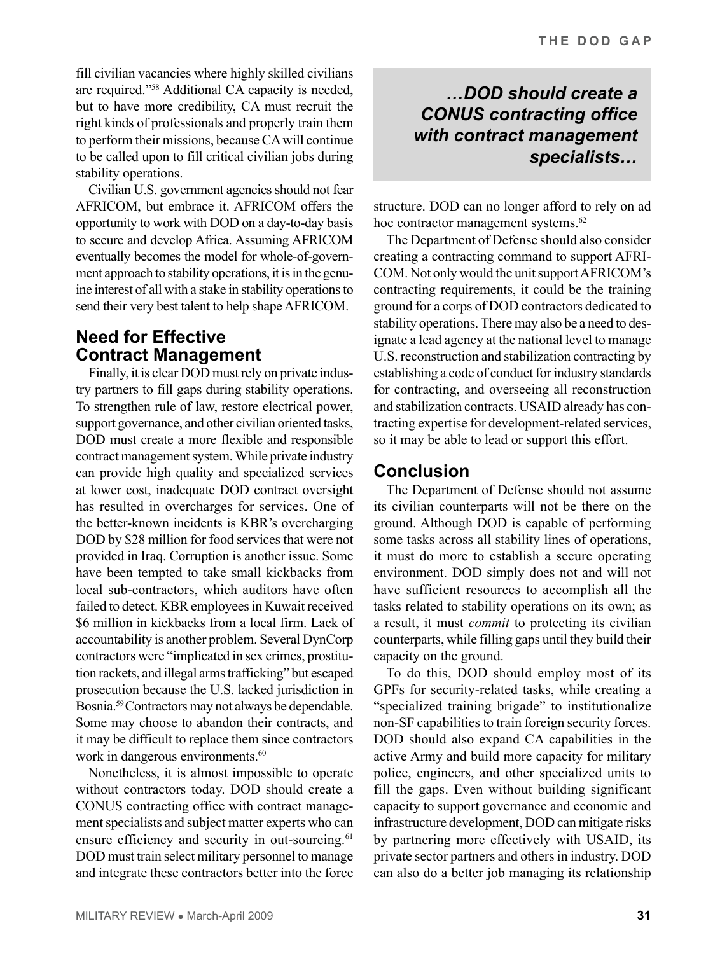fill civilian vacancies where highly skilled civilians are required."58 Additional CA capacity is needed, but to have more credibility, CA must recruit the right kinds of professionals and properly train them to perform their missions, because CA will continue to be called upon to fill critical civilian jobs during stability operations.

Civilian U.S. government agencies should not fear AFRICOM, but embrace it. AFRICOM offers the opportunity to work with DOD on a day-to-day basis to secure and develop Africa. Assuming AFRICOM eventually becomes the model for whole-of-government approach to stability operations, it is in the genuine interest of all with a stake in stability operations to send their very best talent to help shape AFRICOM.

### **Need for Effective Contract Management**

Finally, it is clear DOD must rely on private industry partners to fill gaps during stability operations. To strengthen rule of law, restore electrical power, support governance, and other civilian oriented tasks, DOD must create a more flexible and responsible contract management system. While private industry can provide high quality and specialized services at lower cost, inadequate DOD contract oversight has resulted in overcharges for services. One of the better-known incidents is KBR's overcharging DOD by \$28 million for food services that were not provided in Iraq. Corruption is another issue. Some have been tempted to take small kickbacks from local sub-contractors, which auditors have often failed to detect. KBR employees in Kuwait received \$6 million in kickbacks from a local firm. Lack of accountability is another problem. Several DynCorp contractors were "implicated in sex crimes, prostitution rackets, and illegal arms trafficking" but escaped prosecution because the U.S. lacked jurisdiction in Bosnia.59 Contractors may not always be dependable. Some may choose to abandon their contracts, and it may be difficult to replace them since contractors work in dangerous environments.<sup>60</sup>

Nonetheless, it is almost impossible to operate without contractors today. DOD should create a CONUS contracting office with contract management specialists and subject matter experts who can ensure efficiency and security in out-sourcing.<sup>61</sup> DOD must train select military personnel to manage and integrate these contractors better into the force

# *…DOD should create a CONUS contracting office with contract management specialists…*

structure. DOD can no longer afford to rely on ad hoc contractor management systems.<sup>62</sup>

The Department of Defense should also consider creating a contracting command to support AFRI-COM. Not only would the unit support AFRICOM's contracting requirements, it could be the training ground for a corps of DOD contractors dedicated to stability operations. There may also be a need to designate a lead agency at the national level to manage U.S. reconstruction and stabilization contracting by establishing a code of conduct for industry standards for contracting, and overseeing all reconstruction and stabilization contracts. USAID already has contracting expertise for development-related services, so it may be able to lead or support this effort.

# **Conclusion**

The Department of Defense should not assume its civilian counterparts will not be there on the ground. Although DOD is capable of performing some tasks across all stability lines of operations, it must do more to establish a secure operating environment. DOD simply does not and will not have sufficient resources to accomplish all the tasks related to stability operations on its own; as a result, it must *commit* to protecting its civilian counterparts, while filling gaps until they build their capacity on the ground.

To do this, DOD should employ most of its GPFs for security-related tasks, while creating a "specialized training brigade" to institutionalize non-SF capabilities to train foreign security forces. DOD should also expand CA capabilities in the active Army and build more capacity for military police, engineers, and other specialized units to fill the gaps. Even without building significant capacity to support governance and economic and infrastructure development, DOD can mitigate risks by partnering more effectively with USAID, its private sector partners and others in industry. DOD can also do a better job managing its relationship